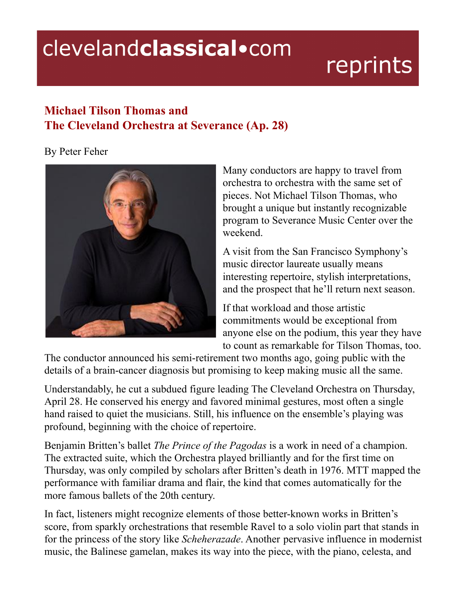## clevelandclassical.com

## reprints

## **Michael Tilson Thomas and The Cleveland Orchestra at Severance (Ap. 28)**

## By Peter Feher



Many conductors are happy to travel from orchestra to orchestra with the same set of pieces. Not Michael Tilson Thomas, who brought a unique but instantly recognizable program to Severance Music Center over the weekend.

A visit from the San Francisco Symphony's music director laureate usually means interesting repertoire, stylish interpretations, and the prospect that he'll return next season.

If that workload and those artistic commitments would be exceptional from anyone else on the podium, this year they have to count as remarkable for Tilson Thomas, too.

The conductor announced his semi-retirement two months ago, going public with the details of a brain-cancer diagnosis but promising to keep making music all the same.

Understandably, he cut a subdued figure leading The Cleveland Orchestra on Thursday, April 28. He conserved his energy and favored minimal gestures, most often a single hand raised to quiet the musicians. Still, his influence on the ensemble's playing was profound, beginning with the choice of repertoire.

Benjamin Britten's ballet *The Prince of the Pagodas* is a work in need of a champion. The extracted suite, which the Orchestra played brilliantly and for the first time on Thursday, was only compiled by scholars after Britten's death in 1976. MTT mapped the performance with familiar drama and flair, the kind that comes automatically for the more famous ballets of the 20th century.

In fact, listeners might recognize elements of those better-known works in Britten's score, from sparkly orchestrations that resemble Ravel to a solo violin part that stands in for the princess of the story like *Scheherazade*. Another pervasive influence in modernist music, the Balinese gamelan, makes its way into the piece, with the piano, celesta, and